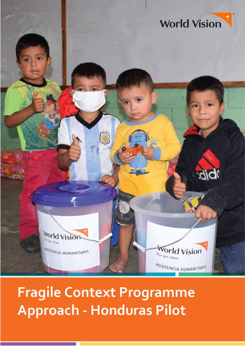

**Fragile Context Programme Approach - Honduras Pilot**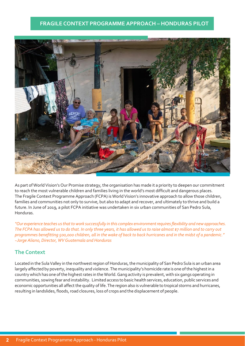# **FRAGILE CONTEXT PROGRAMME APPROACH – HONDURAS PILOT**



As part of World Vision's Our Promise strategy, the organisation has made it a priority to deepen our commitment to reach the most vulnerable children and families living in the world's most difficult and dangerous places. The Fragile Context Programme Approach (FCPA) is World Vision's innovative approach to allow those children, families and communities not only to survive, but also to adapt and recover, and ultimately to thrive and build a future. In June of 2019, a pilot FCPA initiative was undertaken in six urban communities of San Pedro Sula, Honduras.

*"Our experience teaches usthatto work successfully in this complex environmentrequiresflexibility and new approaches. The FCPA has allowed us to do that. In only three years, it has allowed us to raise almost \$7 million and to carry out programmes benefitting 500,000 children, all in the wake of back to back hurricanes and in the midst of a pandemic." ~Jorge Aliano, Director, WV Guatemala and Honduras*

# **The Context**

Located in the Sula Valley in the northwest region of Honduras, the municipality of San Pedro Sula is an urban area largely affected by poverty, inequality and violence. The municipality's homicide rate is one of the highest in a country which has one ofthe highestrates in theWorld.Gang activity is prevalent, with six gangs operating in communities, sowing fear and instability. Limited access to basic health services, education, public services and economic opportunities all affect the quality of life. The region also is vulnerable to tropical storms and hurricanes, resulting in landslides, floods, road closures, loss of crops and the displacement of people.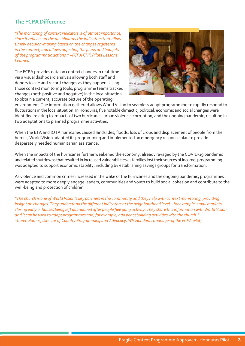# **The FCPADifference**

*"The monitoring of context indicators is of utmost importance, since it reflects on the dashboards the indicators that allow timely decision-making based on the changes registered in the context, and allows adjusting the plans and budgets of the programmatic actions." ~FCPA CHR Pilots Lessons Learned*

The FCPA provides data on context changes in real-time via a visual dashboard analysis allowing both staff and donors to see and record changes as they happen. Using those context monitoring tools, programme teams tracked changes (both positive and negative) in the local situation to obtain a current, accurate picture of the operating



environment. The information gathered allows World Vision to seamless adapt programming to rapidly respond to fluctuations in the local situation. In Honduras, five notable climactic, political, economic and social changes were identified relating to impacts of two hurricanes, urban violence, corruption, and the ongoing pandemic, resulting in two adaptations to planned programme activities.

When the ETA and IOTA hurricanes caused landslides, floods, loss of crops and displacement of people from their homes, World Vision adapted its programming and implemented an emergency response plan to provide desperately needed humanitarian assistance.

When the impacts of the hurricanes further weakened the economy, already ravaged by the COVID-19 pandemic and related shutdowns that resulted in increased vulnerabilities as families lost their sources of income, programming was adapted to support economic stability, including by establishing savings groups for transformation.

As violence and common crimes increased in the wake of the hurricanes and the ongoing pandemic, programmes were adapted to more deeply engage leaders, communities and youth to build social cohesion and contribute to the well-being and protection of children.

"The church is one of World Vision's key partners in the community and they help with context monitoring, providing *insight on changes. They understand the differentindicators atthe neighbourhood level – for example,smallmarkets* closing early or houses being left abandoned after people flee gang activity. They share this information with World Vision *and it can be used to adapt programmes and,for example, add peacebuilding activities with the church." ~Karen Ramos, Director of Country Programming and Advocacy, WV Honduras(manager of the FCPA pilot)*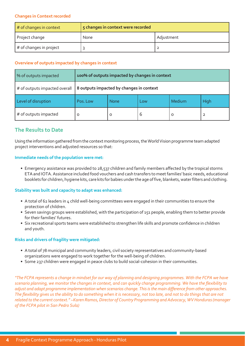### **Changes** in **Context** recorded

| # of changes in context | 5 changes in context were recorded |            |  |  |  |
|-------------------------|------------------------------------|------------|--|--|--|
| Project change          | None                               | Adjustment |  |  |  |
| # of changes in project |                                    |            |  |  |  |

## **Overview of outputs impacted by changes in context**

| % of outputs impacted         | 100% of outputs impacted by changes in context |             |     |         |      |  |
|-------------------------------|------------------------------------------------|-------------|-----|---------|------|--|
| # of outputs impacted overall | 8 outputs impacted by changes in context       |             |     |         |      |  |
| Level of disruption           | Pos. Low                                       | <b>None</b> | Low | Medium  | High |  |
| # of outputs impacted         | O                                              | O           | 6   | $\circ$ | 2    |  |

# **The Results to Date**

Using the information gathered from the context monitoring process, the World Vision programme team adapted project interventions and adjusted resources so that:

#### **Immediate needs of the population were met:**

• Emergency assistance was provided to 28,537 children and family members affected by the tropical storms ETA and IOTA. Assistance included food vouchers and cash transfers to meet families' basic needs, educational booklets for children, hygiene kits, care kits for babies under the age of five, blankets, water filters and clothing.

## **Stability was built and capacity to adapt was enhanced:**

- A total of 62 leaders in 4 child well-being committees were engaged in their communities to ensure the protection of children.
- Seven savings groups were established, with the participation of 151 people, enabling them to better provide for their families' futures.
- Six recreational sports teams were established to strengthen life skills and promote confidence in children and youth.

## **Risks and drivers of fragility were mitigated:**

- A total of 78 municipal and community leaders, civil society representatives and community-based organizations were engaged to work together for the well-being of children.
- Some 237 children were engaged in peace clubs to build social-cohesion in their communities.

*"The FCPA represents a change in mindset for our way of planning and designing programmes. With the FCPA we have scenario planning, we monitor the changes in context, and can quickly change programming. We have the flexibility to adjust and adapt programme implementation when scenarios change. This is the main difference from other approaches. The flexibility gives us the ability to do something when it is necessary, not too late, and not to do things that are not related to the current context." ~Karen Ramos, Director of Country Programming and Advocacy, WV Honduras(manager of the FCPA pilot in San Pedro Sula)*